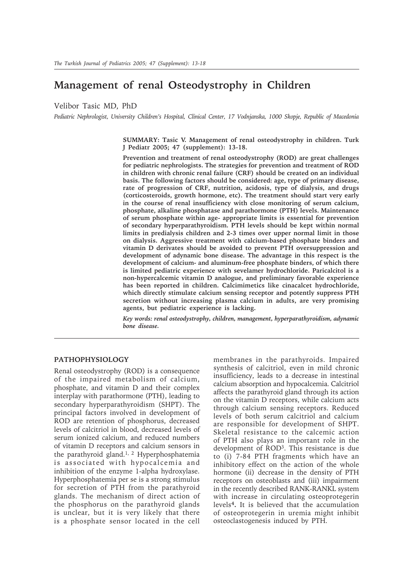# **Management of renal Osteodystrophy in Children**

Velibor Tasic MD, PhD

*Pediatric Nephrologist, University Children's Hospital, Clinical Center, 17 Vodnjanska, 1000 Skopje, Republic of Macedonia*

**SUMMARY: Tasic V. Management of renal osteodystrophy in children. Turk J Pediatr 2005; 47 (supplement): 13-18.**

**Prevention and treatment of renal osteodystrophy (ROD) are great challenges for pediatric nephrologists. The strategies for prevention and treatment of ROD in children with chronic renal failure (CRF) should be created on an individual basis. The following factors should be considered: age, type of primary disease, rate of progression of CRF, nutrition, acidosis, type of dialysis, and drugs (corticosteroids, growth hormone, etc). The treatment should start very early in the course of renal insufficiency with close monitoring of serum calcium, phosphate, alkaline phosphatase and parathormone (PTH) levels. Maintenance of serum phosphate within age- appropriate limits is essential for prevention of secondary hyperparathyroidism. PTH levels should be kept within normal limits in predialysis children and 2-3 times over upper normal limit in those on dialysis. Aggressive treatment with calcium-based phosphate binders and vitamin D derivates should be avoided to prevent PTH oversuppression and development of adynamic bone disease. The advantage in this respect is the development of calcium- and aluminum-free phosphate binders, of which there is limited pediatric experience with sevelamer hydrochloride. Paricalcitol is a non-hypercalcemic vitamin D analogue, and preliminary favorable experience has been reported in children. Calcimimetics like cinacalcet hydrochloride, which directly stimulate calcium sensing receptor and potently suppress PTH secretion without increasing plasma calcium in adults, are very promising agents, but pediatric experience is lacking.**

*Key words: renal osteodystrophy, children, management, hyperparathyroidism, adynamic bone disease.*

#### **PATHOPHYSIOLOGY**

Renal osteodystrophy (ROD) is a consequence of the impaired metabolism of calcium, phosphate, and vitamin D and their complex interplay with parathormone (PTH), leading to secondary hyperparathyroidism (SHPT). The principal factors involved in development of ROD are retention of phosphorus, decreased levels of calcitriol in blood, decreased levels of serum ionized calcium, and reduced numbers of vitamin D receptors and calcium sensors in the parathyroid gland.<sup>1, 2</sup> Hyperphosphatemia is associated with hypocalcemia and inhibition of the enzyme 1-alpha hydroxylase. Hyperphosphatemia per se is a strong stimulus for secretion of PTH from the parathyroid glands. The mechanism of direct action of the phosphorus on the parathyroid glands is unclear, but it is very likely that there is a phosphate sensor located in the cell membranes in the parathyroids. Impaired synthesis of calcitriol, even in mild chronic insufficiency, leads to a decrease in intestinal calcium absorption and hypocalcemia. Calcitriol affects the parathyroid gland through its action on the vitamin D receptors, while calcium acts through calcium sensing receptors. Reduced levels of both serum calcitriol and calcium are responsible for development of SHPT. Skeletal resistance to the calcemic action of PTH also plays an important role in the development of ROD3. This resistance is due to (i) 7-84 PTH fragments which have an inhibitory effect on the action of the whole hormone (ii) decrease in the density of PTH receptors on osteoblasts and (iii) impairment in the recently described RANK-RANKL system with increase in circulating osteoprotegerin levels**4.** It is believed that the accumulation of osteoprotegerin in uremia might inhibit osteoclastogenesis induced by PTH.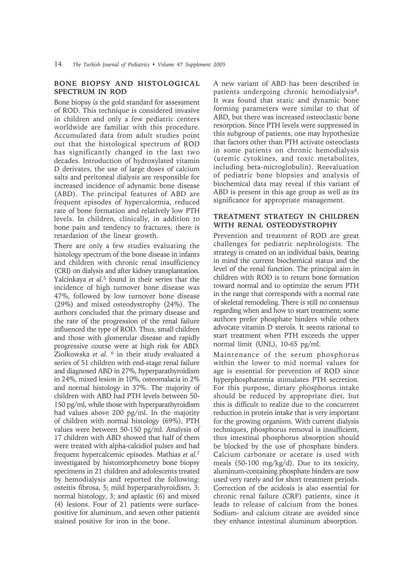#### **BONE BIOPSY AND HISTOLOGICAL SPECTRUM IN ROD**

Bone biopsy is the gold standard for assessment of ROD. This technique is considered invasive in children and only a few pediatric centers worldwide are familiar with this procedure. Accumulated data from adult studies point out that the histological spectrum of ROD has significantly changed in the last two decades. Introduction of hydroxylated vitamin D derivates, the use of large doses of calcium salts and peritoneal dialysis are responsible for increased incidence of adynamic bone disease (ABD). The principal features of ABD are frequent episodes of hypercalcemia, reduced rate of bone formation and relatively low PTH levels. In children, clinically, in addition to bone pain and tendency to fractures, there is retardation of the linear growth.

There are only a few studies evaluating the histology spectrum of the bone disease in infants and children with chronic renal insufficiency (CRI) on dialysis and after kidney transplantation. Yalcinkaya *et al.*5 found in their series that the incidence of high turnover bone disease was 47%, followed by low turnover bone disease (29%) and mixed osteodystrophy (24%). The authors concluded that the primary disease and the rate of the progression of the renal failure influenced the type of ROD. Thus, small children and those with glomerular disease and rapidly progressive course were at high risk for ABD. Ziolkowska *et al.* 6 in their study evaluated a series of 51 children with end-stage renal failure and diagnosed ABD in 27%, hyperparathyroidism in 24%, mixed lesion in 10%, osteomalacia in 2% and normal histology in 37%. The majority of children with ABD had PTH levels between 50- 150 pg/ml, while those with hyperparathyroidism had values above 200 pg/ml. In the majority of children with normal histology (69%), PTH values were between 50-150 pg/ml. Analysis of 17 children with ABD showed that half of them were treated with alpha-calcidiol pulses and had frequent hypercalcemic episodes. Mathias *et al.*<sup>7</sup> investigated by histomorphometry bone biopsy specimens in 21 children and adolescents treated by hemodialysis and reported the following: osteitis fibrosa, 5; mild hyperparathyroidism, 3; normal histology, 3; and aplastic (6) and mixed (4) lesions. Four of 21 patients were surfacepositive for aluminum, and seven other patients stained positive for iron in the bone.

A new variant of ABD has been described in patients undergoing chronic hemodialysis<sup>8</sup>. It was found that static and dynamic bone forming parameters were similar to that of ABD, but there was increased osteoclastic bone resorption. Since PTH levels were suppressed in this subgroup of patients, one may hypothesize that factors other than PTH activate osteoclasts in some patients on chronic hemodialysis (uremic cytokines, and toxic metabolites, including beta-microglobulin). Reevaluation of pediatric bone biopsies and analysis of biochemical data may reveal if this variant of ABD is present in this age group as well as its significance for appropriate management.

## **TREATMENT STRATEGY IN CHILDREN WITH RENAL OSTEODYSTROPHY**

Prevention and treatment of ROD are great challenges for pediatric nephrologists. The strategy is created on an individual basis, bearing in mind the current biochemical status and the level of the renal function. The principal aim in children with ROD is to return bone formation toward normal and to optimize the serum PTH in the range that corresponds with a normal rate of skeletal remodeling. There is still no consensus regarding when and how to start treatment; some authors prefer phosphate binders while others advocate vitamin D sterols. It seems rational to start treatment when PTH exceeds the upper normal limit (UNL), 10-65 pg/ml.

Maintenance of the serum phosphorus within the lower to mid normal values for age is essential for prevention of ROD since hyperphosphatemia stimulates PTH secretion. For this purpose, dietary phosphorus intake should be reduced by appropriate diet, but this is difficult to realize due to the concurrent reduction in protein intake that is very important for the growing organism. With current dialysis techniques, phosphorus removal is insufficient, thus intestinal phosphorus absorption should be blocked by the use of phosphate binders. Calcium carbonate or acetate is used with meals (50-100 mg/kg/d). Due to its toxicity, aluminum-containing phosphate binders are now used very rarely and for short treatment periods. Correction of the acidosis is also essential for chronic renal failure (CRF) patients, since it leads to release of calcium from the bones. Sodium- and calcium citrate are avoided since they enhance intestinal aluminum absorption.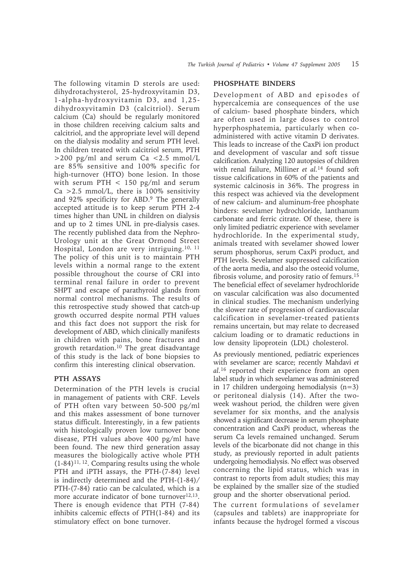The following vitamin D sterols are used: dihydrotachysterol, 25-hydroxyvitamin D3, 1-alpha-hydroxyvitamin D3, and 1,25 dihydroxyvitamin D3 (calcitriol). Serum calcium (Ca) should be regularly monitored in those children receiving calcium salts and calcitriol, and the appropriate level will depend on the dialysis modality and serum PTH level. In children treated with calcitriol serum, PTH >200 pg/ml and serum Ca <2.5 mmol/L are 85% sensitive and 100% specific for high-turnover (HTO) bone lesion. In those with serum PTH < 150 pg/ml and serum Ca  $>2.5$  mmol/L, there is 100% sensitivity and 92% specificity for ABD.<sup>9</sup> The generally accepted attitude is to keep serum PTH 2-4 times higher than UNL in children on dialysis and up to 2 times UNL in pre-dialysis cases. The recently published data from the Nephro-Urology unit at the Great Ormond Street Hospital, London are very intriguing.10, 11 The policy of this unit is to maintain PTH levels within a normal range to the extent possible throughout the course of CRI into terminal renal failure in order to prevent SHPT and escape of parathyroid glands from normal control mechanisms. The results of this retrospective study showed that catch-up growth occurred despite normal PTH values and this fact does not support the risk for development of ABD, which clinically manifests in children with pains, bone fractures and growth retardation.10 The great disadvantage of this study is the lack of bone biopsies to confirm this interesting clinical observation.

## **PTH ASSAYS**

Determination of the PTH levels is crucial in management of patients with CRF. Levels of PTH often vary between 50-500 pg/ml and this makes assessment of bone turnover status difficult. Interestingly, in a few patients with histologically proven low turnover bone disease, PTH values above 400 pg/ml have been found. The new third generation assay measures the biologically active whole PTH  $(1-84)^{11,12}$ . Comparing results using the whole PTH and iPTH assays, the PTH-(7-84) level is indirectly determined and the PTH-(1-84)/ PTH-(7-84) ratio can be calculated, which is a more accurate indicator of bone turnover<sup>12,13</sup>. There is enough evidence that PTH (7-84) inhibits calcemic effects of PTH(1-84) and its stimulatory effect on bone turnover.

## **PHOSPHATE BINDERS**

Development of ABD and episodes of hypercalcemia are consequences of the use of calcium- based phosphate binders, which are often used in large doses to control hyperphosphatemia, particularly when coadministered with active vitamin D derivates. This leads to increase of the CaxPi ion product and development of vascular and soft tissue calcification. Analyzing 120 autopsies of children with renal failure, Milliner *et al.*14 found soft tissue calcifications in 60% of the patients and systemic calcinosis in 36%. The progress in this respect was achieved via the development of new calcium- and aluminum-free phosphate binders: sevelamer hydrochloride, lanthanum carbonate and ferric citrate. Of these, there is only limited pediatric experience with sevelamer hydrochloride. In the experimental study, animals treated with sevelamer showed lower serum phosphorus, serum CaxPi product, and PTH levels. Sevelamer suppressed calcification of the aorta media, and also the osteoid volume, fibrosis volume, and porosity ratio of femurs.15 The beneficial effect of sevelamer hydrochloride on vascular calcification was also documented in clinical studies. The mechanism underlying the slower rate of progression of cardiovascular calcification in sevelamer-treated patients remains uncertain, but may relate to decreased calcium loading or to dramatic reductions in low density lipoprotein (LDL) cholesterol.

As previously mentioned, pediatric experiences with sevelamer are scarce; recently Mahdavi *et al.*16 reported their experience from an open label study in which sevelamer was administered in 17 children undergoing hemodialysis (n=3) or peritoneal dialysis (14). After the twoweek washout period, the children were given sevelamer for six months, and the analysis showed a significant decrease in serum phosphate concentration and CaxPi product, whereas the serum Ca levels remained unchanged. Serum levels of the bicarbonate did not change in this study, as previously reported in adult patients undergoing hemodialysis. No effect was observed concerning the lipid status, which was in contrast to reports from adult studies; this may be explained by the smaller size of the studied group and the shorter observational period.

The current formulations of sevelamer (capsules and tablets) are inappropriate for infants because the hydrogel formed a viscous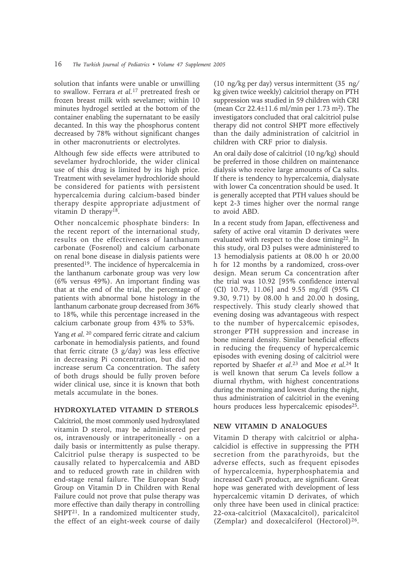solution that infants were unable or unwilling to swallow. Ferrara *et al.*17 pretreated fresh or frozen breast milk with sevelamer; within 10 minutes hydrogel settled at the bottom of the container enabling the supernatant to be easily decanted. In this way the phosphorus content decreased by 78% without significant changes in other macronutrients or electrolytes.

Although few side effects were attributed to sevelamer hydrochloride, the wider clinical use of this drug is limited by its high price. Treatment with sevelamer hydrochloride should be considered for patients with persistent hypercalcemia during calcium-based binder therapy despite appropriate adjustment of vitamin D therapy<sup>18</sup>.

Other noncalcemic phosphate binders: In the recent report of the international study, results on the effectiveness of lanthanum carbonate (Fosrenol) and calcium carbonate on renal bone disease in dialysis patients were presented19. The incidence of hypercalcemia in the lanthanum carbonate group was very low (6% versus 49%). An important finding was that at the end of the trial, the percentage of patients with abnormal bone histology in the lanthanum carbonate group decreased from 36% to 18%, while this percentage increased in the calcium carbonate group from 43% to 53%.

Yang *et al.* 20 compared ferric citrate and calcium carbonate in hemodialysis patients, and found that ferric citrate (3 g/day) was less effective in decreasing Pi concentration, but did not increase serum Ca concentration. The safety of both drugs should be fully proven before wider clinical use, since it is known that both metals accumulate in the bones.

### **HYDROXYLATED VITAMIN D STEROLS**

Calcitriol, the most commonly used hydroxylated vitamin D sterol, may be administered per os, intravenously or intraperitoneally - on a daily basis or intermittently as pulse therapy. Calcitriol pulse therapy is suspected to be causally related to hypercalcemia and ABD and to reduced growth rate in children with end-stage renal failure. The European Study Group on Vitamin D in Children with Renal Failure could not prove that pulse therapy was more effective than daily therapy in controlling SHPT<sup>21</sup>. In a randomized multicenter study, the effect of an eight-week course of daily

(10 ng/kg per day) versus intermittent (35 ng/ kg given twice weekly) calcitriol therapy on PTH suppression was studied in 59 children with CRI (mean Ccr 22.4±11.6 ml/min per 1.73 m2). The investigators concluded that oral calcitriol pulse therapy did not control SHPT more effectively than the daily administration of calcitriol in children with CRF prior to dialysis.

An oral daily dose of calcitriol (10 ng/kg) should be preferred in those children on maintenance dialysis who receive large amounts of Ca salts. If there is tendency to hypercalcemia, dialysate with lower Ca concentration should be used. It is generally accepted that PTH values should be kept 2-3 times higher over the normal range to avoid ABD.

In a recent study from Japan, effectiveness and safety of active oral vitamin D derivates were evaluated with respect to the dose timing22. In this study, oral D3 pulses were administered to 13 hemodialysis patients at 08.00 h or 20.00 h for 12 months by a randomized, cross-over design. Mean serum Ca concentration after the trial was 10.92 [95% confidence interval (CI) 10.79, 11.06] and 9.55 mg/dl (95% CI 9.30, 9.71) by 08.00 h and 20.00 h dosing, respectively. This study clearly showed that evening dosing was advantageous with respect to the number of hypercalcemic episodes, stronger PTH suppression and increase in bone mineral density. Similar beneficial effects in reducing the frequency of hypercalcemic episodes with evening dosing of calcitriol were reported by Shaefer *et al*. 23 and Moe *et al.*24 It is well known that serum Ca levels follow a diurnal rhythm, with highest concentrations during the morning and lowest during the night, thus administration of calcitriol in the evening hours produces less hypercalcemic episodes<sup>25</sup>.

### **NEW VITAMIN D ANALOGUES**

Vitamin D therapy with calcitriol or alphacalcidiol is effective in suppressing the PTH secretion from the parathyroids, but the adverse effects, such as frequent episodes of hypercalcemia, hyperphosphatemia and increased CaxPi product, are significant. Great hope was generated with development of less hypercalcemic vitamin D derivates, of which only three have been used in clinical practice: 22-oxa-calcitriol (Maxacalcitol), paricalcitol (Zemplar) and doxecalciferol (Hectorol)<sup>26</sup>.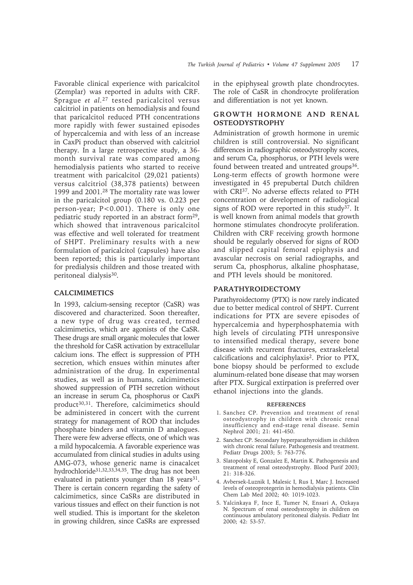Favorable clinical experience with paricalcitol (Zemplar) was reported in adults with CRF. Sprague *et al.*27 tested paricalcitol versus calcitriol in patients on hemodialysis and found that paricalcitol reduced PTH concentrations more rapidly with fewer sustained episodes of hypercalcemia and with less of an increase in CaxPi product than observed with calcitriol therapy. In a large retrospective study, a 36 month survival rate was compared among hemodialysis patients who started to receive

treatment with paricalcitol (29,021 patients) versus calcitriol (38,378 patients) between 1999 and 2001.28 The mortality rate was lower in the paricalcitol group (0.180 vs. 0.223 per person-year; P<0.001). There is only one pediatric study reported in an abstract form29, which showed that intravenous paricalcitol was effective and well tolerated for treatment of SHPT. Preliminary results with a new formulation of paricalcitol (capsules) have also been reported; this is particularly important for predialysis children and those treated with peritoneal dialysis<sup>30</sup>.

## **CALCIMIMETICS**

In 1993, calcium-sensing receptor (CaSR) was discovered and characterized. Soon thereafter, a new type of drug was created, termed calcimimetics, which are agonists of the CaSR. These drugs are small organic molecules that lower the threshold for CaSR activation by extracellular calcium ions. The effect is suppression of PTH secretion, which ensues within minutes after administration of the drug. In experimental studies, as well as in humans, calcimimetics showed suppression of PTH secretion without an increase in serum Ca, phosphorus or CaxPi product<sup>30,31</sup>. Therefore, calcimimetics should be administered in concert with the current strategy for management of ROD that includes phosphate binders and vitamin D analogues. There were few adverse effects, one of which was a mild hypocalcemia. A favorable experience was accumulated from clinical studies in adults using AMG-073, whose generic name is cinacalcet hydrochloride31,32,33,34,35. The drug has not been evaluated in patients younger than 18 years<sup>31</sup>. There is certain concern regarding the safety of calcimimetics, since CaSRs are distributed in various tissues and effect on their function is not well studied. This is important for the skeleton in growing children, since CaSRs are expressed

in the epiphyseal growth plate chondrocytes. The role of CaSR in chondrocyte proliferation and differentiation is not yet known.

## **GROWTH HORMONE AND RENAL OSTEODYSTROPHY**

Administration of growth hormone in uremic children is still controversial. No significant differences in radiographic osteodystrophy scores, and serum Ca, phosphorus, or PTH levels were found between treated and untreated groups<sup>36</sup>. Long-term effects of growth hormone were investigated in 45 prepubertal Dutch children with CRI<sup>37</sup>. No adverse effects related to PTH concentration or development of radiological signs of ROD were reported in this study<sup>37</sup>. It is well known from animal models that growth hormone stimulates chondrocyte proliferation. Children with CRF receiving growth hormone should be regularly observed for signs of ROD and slipped capital femoral epiphysis and avascular necrosis on serial radiographs, and serum Ca, phosphorus, alkaline phosphatase, and PTH levels should be monitored.

## **PARATHYROIDECTOMY**

Parathyroidectomy (PTX) is now rarely indicated due to better medical control of SHPT. Current indications for PTX are severe episodes of hypercalcemia and hyperphosphatemia with high levels of circulating PTH unresponsive to intensified medical therapy, severe bone disease with recurrent fractures, extraskeletal calcifications and calciphylaxis2. Prior to PTX, bone biopsy should be performed to exclude aluminum-related bone disease that may worsen after PTX. Surgical extirpation is preferred over ethanol injections into the glands.

#### **REFERENCES**

- 1. Sanchez CP. Prevention and treatment of renal osteodystrophy in children with chronic renal insufficiency and end-stage renal disease. Semin Nephrol 2001; 21: 441-450.
- 2. Sanchez CP. Secondary hyperparathyroidism in children with chronic renal failure. Pathogenesis and treatment. Pediatr Drugs 2003; 5: 763-776.
- 3. Slatopolsky E, Gonzalez E, Martin K. Pathogenesis and treatment of renal osteodystrophy. Blood Purif 2003; 21: 318-326.
- 4. Avbersek-Luznik I, Malesic I, Rus I, Marc J. Increased levels of osteoprotegerin in hemodialysis patients. Clin Chem Lab Med 2002; 40: 1019-1023.
- 5. Yalcinkaya F, Ince E, Tumer N, Ensari A, Ozkaya N. Spectrum of renal osteodystrophy in children on continuous ambulatory peritoneal dialysis. Pediatr Int 2000; 42: 53-57.